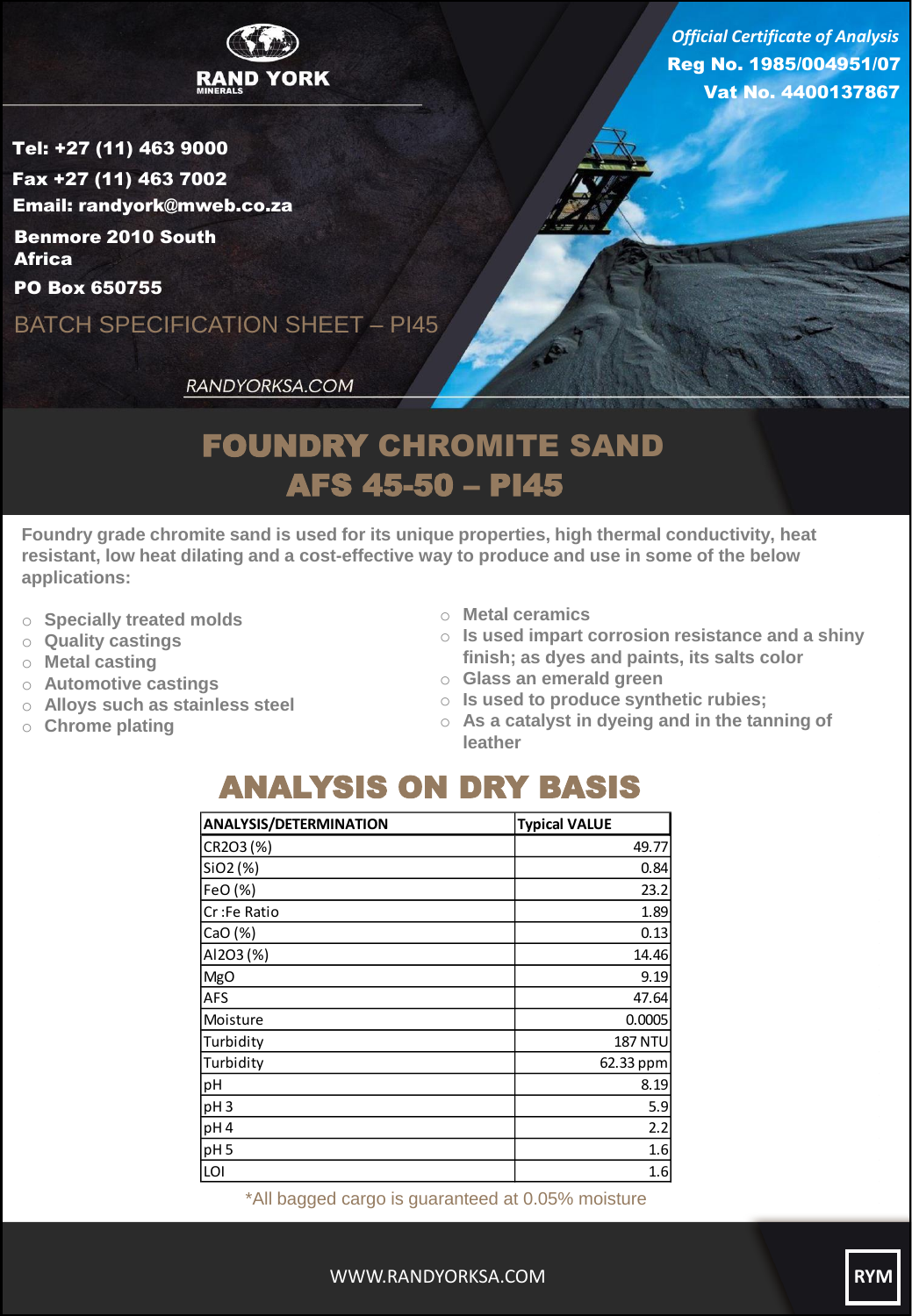

Reg No. 1985/004951/07 Vat No. 4400137867 *Official Certificate of Analysis*

Tel: +27 (11) 463 9000 Fax +27 (11) 463 7002 Email: randyork@mweb.co.za Benmore 2010 South **Africa** 

PO Box 650755

BATCH SPECIFICATION SHEET – PI45

RANDYORKSA.COM

## FOUNDRY CHROMITE SAND AFS 45-50 – PI45

**Foundry grade chromite sand is used for its unique properties, high thermal conductivity, heat resistant, low heat dilating and a cost-effective way to produce and use in some of the below applications:**

- o **Specially treated molds**
- o **Quality castings**
- o **Metal casting**
- o **Automotive castings**
- o **Alloys such as stainless steel**
- o **Chrome plating**
- o **Metal ceramics**
- o **Is used impart corrosion resistance and a shiny finish; as dyes and paints, its salts color**
- o **Glass an emerald green**
- o **Is used to produce synthetic rubies;**
- o **As a catalyst in dyeing and in the tanning of leather**

## ANALYSIS ON DRY BASIS

| <b>ANALYSIS/DETERMINATION</b> | <b>Typical VALUE</b> |
|-------------------------------|----------------------|
| CR2O3(%)                      | 49.77                |
| SiO2 (%)                      | 0.84                 |
| FeO (%)                       | 23.2                 |
| Cr :Fe Ratio                  | 1.89                 |
| CaO (%)                       | 0.13                 |
| AI2O3 (%)                     | 14.46                |
| MgO                           | 9.19                 |
| AFS                           | 47.64                |
| Moisture                      | 0.0005               |
| Turbidity                     | <b>187 NTU</b>       |
| Turbidity                     | 62.33 ppm            |
| pH                            | 8.19                 |
| pH <sub>3</sub>               | 5.9                  |
| pH <sub>4</sub>               | 2.2                  |
| pH 5                          | 1.6                  |
| LOI                           | 1.6                  |

\*All bagged cargo is guaranteed at 0.05% moisture